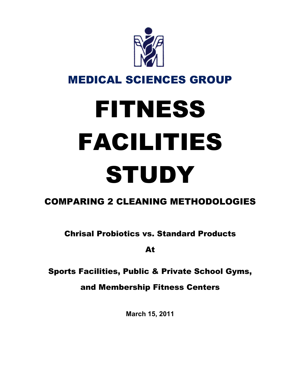

## MEDICAL SCIENCES GROUP

# FITNESS FACILITIES **STUDY**

## COMPARING 2 CLEANING METHODOLOGIES

Chrisal Probiotics vs. Standard Products

At

## Sports Facilities, Public & Private School Gyms,

and Membership Fitness Centers

**March 15, 2011**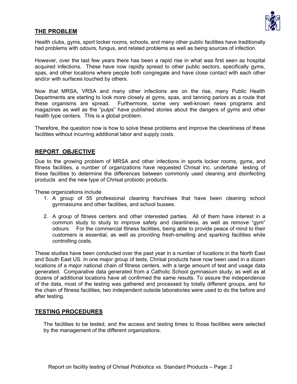

#### **THE PROBLEM**

Health clubs, gyms, sport locker rooms, schools, and many other public facilities have traditionally had problems with odours, fungus, and related problems as well as being sources of infection.

However, over the last few years there has been a rapid rise in what was first seen as hospital acquired infections. These have now rapidly spread to other public sectors, specifically gyms, spas, and other locations where people both congregate and have close contact with each other and/or with surfaces touched by others.

Now that MRSA, VRSA and many other infections are on the rise, many Public Health Departments are starting to look more closely at gyms, spas, and tanning parlors as a route that these organisms are spread. Furthermore, some very well-known news programs and magazines as well as the "pulps" have published stories about the dangers of gyms and other health type centers. This is a global problem.

Therefore, the question now is how to solve these problems and improve the cleanliness of these facilities without incurring additional labor and supply costs.

#### **REPORT OBJECTIVE**

Due to the growing problem of MRSA and other infections in sports locker rooms, gyms, and fitness facilities, a number of organizations have requested Chrisal Inc. undertake testing of these facilities to determine the differences between commonly used cleaning and disinfecting products and the new type of Chrisal probiotic products.

These organizations include

- 1. A group of 55 professional cleaning franchises that have been cleaning school gymnasiums and other facilities, and school busses.
- 2. A group of fitness centers and other interested parties. All of them have interest in a common study to study to improve safety and cleanliness, as well as remove "gym" odours. For the commercial fitness facilities, being able to provide peace of mind to their customers is essential, as well as providing fresh-smelling and sparking facilities while controlling costs.

These studies have been conducted over the past year in a number of locations in the North East and South East US. In one major group of tests, Chrisal products have now been used in a dozen locations of a major national chain of fitness centers, with a large amount of test and usage data generated. Comparative data generated from a Catholic School gymnasium study, as well as at dozens of additional locations have all confirmed the same results. To assure the independence of the data, most of the testing was gathered and processed by totally different groups, and for the chain of fitness facilities, two independent outside laboratories were used to do the before and after testing.

#### **TESTING PROCEDURES**

The facilities to be tested, and the access and testing times to those facilities were selected by the management of the different organizations.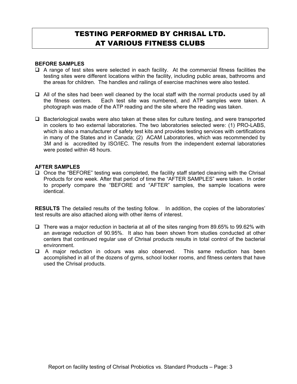### TESTING PERFORMED BY CHRISAL LTD. AT VARIOUS FITNESS CLUBS

#### **BEFORE SAMPLES**

- $\Box$  A range of test sites were selected in each facility. At the commercial fitness facilities the testing sites were different locations within the facility, including public areas, bathrooms and the areas for children. The handles and railings of exercise machines were also tested.
- $\Box$  All of the sites had been well cleaned by the local staff with the normal products used by all the fitness centers. Each test site was numbered, and ATP samples were taken. A photograph was made of the ATP reading and the site where the reading was taken.
- $\Box$  Bacteriological swabs were also taken at these sites for culture testing, and were transported in coolers to two external laboratories. The two laboratories selected were: (1) PRO-LABS, which is also a manufacturer of safety test kits and provides testing services with certifications in many of the States and in Canada; (2) ACAM Laboratories, which was recommended by 3M and is accredited by ISO/IEC. The results from the independent external laboratories were posted within 48 hours.

#### **AFTER SAMPLES**

 $\Box$  Once the "BEFORE" testing was completed, the facility staff started cleaning with the Chrisal Products for one week. After that period of time the "AFTER SAMPLES" were taken. In order to properly compare the "BEFORE and "AFTER" samples, the sample locations were identical.

**RESULTS** The detailed results of the testing follow. In addition, the copies of the laboratories' test results are also attached along with other items of interest.

- $\Box$  There was a major reduction in bacteria at all of the sites ranging from 89.65% to 99.62% with an average reduction of 90.95%. It also has been shown from studies conducted at other centers that continued regular use of Chrisal products results in total control of the bacterial environment.
- A major reduction in odours was also observed. This same reduction has been accomplished in all of the dozens of gyms, school locker rooms, and fitness centers that have used the Chrisal products.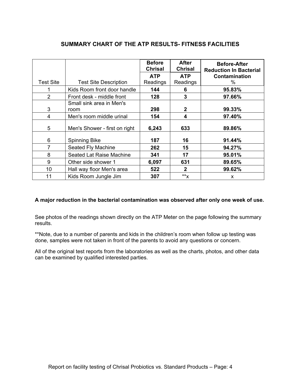|                  |                               | <b>Before</b><br><b>Chrisal</b> | <b>After</b><br><b>Chrisal</b> | <b>Before-After</b><br><b>Reduction In Bacterial</b> |
|------------------|-------------------------------|---------------------------------|--------------------------------|------------------------------------------------------|
|                  |                               | <b>ATP</b>                      | <b>ATP</b>                     | Contamination                                        |
| <b>Test Site</b> | <b>Test Site Description</b>  | Readings                        | Readings                       | $\%$                                                 |
|                  | Kids Room front door handle   | 144                             | 6                              | 95.83%                                               |
| $\overline{2}$   | Front desk - middle front     | 128                             | 3                              | 97.66%                                               |
|                  | Small sink area in Men's      |                                 |                                |                                                      |
| 3                | room                          | 298                             | $\mathbf{2}$                   | 99.33%                                               |
| 4                | Men's room middle urinal      | 154                             | 4                              | 97.40%                                               |
| 5                | Men's Shower - first on right | 6,243                           | 633                            | 89.86%                                               |
| 6                | <b>Spinning Bike</b>          | 187                             | 16                             | 91.44%                                               |
| 7                | Seated Fly Machine            | 262                             | 15                             | 94.27%                                               |
| 8                | Seated Lat Raise Machine      | 341                             | 17                             | 95.01%                                               |
| 9                | Other side shower 1           | 6,097                           | 631                            | 89.65%                                               |
| 10               | Hall way floor Men's area     | 522                             | $\mathbf{2}$                   | 99.62%                                               |
| 11               | Kids Room Jungle Jim          | 307                             | $*^*x$                         | x                                                    |

#### **SUMMARY CHART OF THE ATP RESULTS- FITNESS FACILITIES**

#### **A major reduction in the bacterial contamination was observed after only one week of use.**

See photos of the readings shown directly on the ATP Meter on the page following the summary results.

\*\*Note, due to a number of parents and kids in the children's room when follow up testing was done, samples were not taken in front of the parents to avoid any questions or concern.

All of the original test reports from the laboratories as well as the charts, photos, and other data can be examined by qualified interested parties.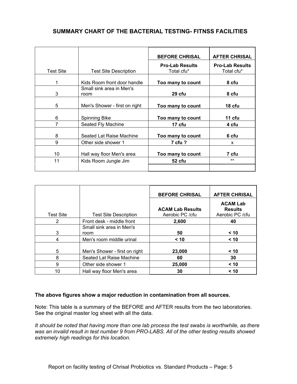#### **SUMMARY CHART OF THE BACTERIAL TESTING- FITNSS FACILITIES**

|           |                               | <b>BEFORE CHRISAL</b>  | <b>AFTER CHRISAL</b>   |
|-----------|-------------------------------|------------------------|------------------------|
|           |                               | <b>Pro-Lab Results</b> | <b>Pro-Lab Results</b> |
| Test Site | <b>Test Site Description</b>  | Total cfu*             | Total cfu*             |
|           |                               |                        |                        |
| 1         | Kids Room front door handle   | Too many to count      | 8 cfu                  |
|           | Small sink area in Men's      |                        |                        |
| 3         | room                          | 29 cfu                 | 8 cfu                  |
|           |                               |                        |                        |
| 5         | Men's Shower - first on right | Too many to count      | 18 <sub>ctu</sub>      |
|           |                               |                        |                        |
| 6         | Spinning Bike                 | Too many to count      | 11 cfu                 |
| 7         | Seated Fly Machine            | 17 cfu                 | 4 cfu                  |
|           |                               |                        |                        |
| 8         | Seated Lat Raise Machine      | Too many to count      | 6 cfu                  |
| 9         | Other side shower 1           | 7 cfu ?                | X                      |
|           |                               |                        |                        |
| 10        | Hall way floor Men's area     | Too many to count      | 7 cfu                  |
| 11        | Kids Room Jungle Jim          | 52 cfu                 | $***$                  |
|           |                               |                        |                        |

|                  |                               | <b>BEFORE CHRISAL</b>                       | <b>AFTER CHRISAL</b>                                 |
|------------------|-------------------------------|---------------------------------------------|------------------------------------------------------|
| <b>Test Site</b> | <b>Test Site Description</b>  | <b>ACAM Lab Results</b><br>Aerobic PC / cfu | <b>ACAM Lab</b><br><b>Results</b><br>Aerobic PC /cfu |
| 2                | Front desk - middle front     | 2,600                                       | 40                                                   |
|                  | Small sink area in Men's      |                                             |                                                      |
| 3                | room                          | 50                                          | < 10                                                 |
| 4                | Men's room middle urinal      | < 10                                        | < 10                                                 |
| 5                | Men's Shower - first on right | 23,000                                      | < 10                                                 |
| 8                | Seated Lat Raise Machine      | 60                                          | 30                                                   |
| 9                | Other side shower 1           | 25,000                                      | < 10                                                 |
| 10               | Hall way floor Men's area     | 30                                          | < 10                                                 |

#### **The above figures show a major reduction in contamination from all sources.**

Note: This table is a summary of the BEFORE and AFTER results from the two laboratories. See the original master log sheet with all the data.

*It should be noted that having more than one lab process the test swabs is worthwhile, as there was an invalid result in test number 9 from PRO-LABS. All of the other testing results showed extremely high readings for this location.*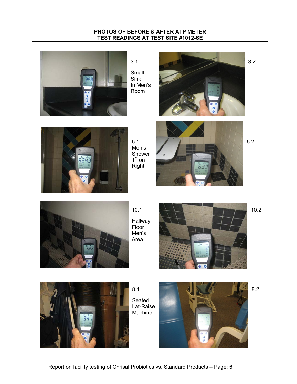#### **PHOTOS OF BEFORE & AFTER ATP METER TEST READINGS AT TEST SITE #1012-SE**



3.1 3.2 Small





Men's Shower 1<sup>st</sup> on Right





Hallway Floor Men's Area





Seated Lat-Raise Machine

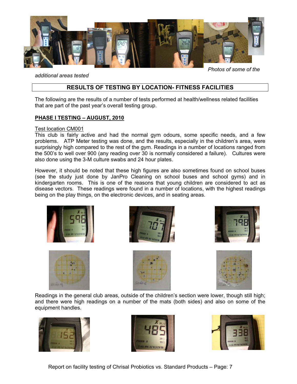

*additional areas tested* 

*Photos of some of the* 

#### **RESULTS OF TESTING BY LOCATION- FITNESS FACILITIES**

The following are the results of a number of tests performed at health/wellness related facilities that are part of the past year's overall testing group.

#### **PHASE I TESTING – AUGUST, 2010**

#### Test location CM001

This club is fairly active and had the normal gym odours, some specific needs, and a few problems. ATP Meter testing was done, and the results, especially in the children's area, were surprisingly high compared to the rest of the gym. Readings in a number of locations ranged from the 500's to well over 900 (any reading over 30 is normally considered a failure). Cultures were also done using the 3-M culture swabs and 24 hour plates.

However, it should be noted that these high figures are also sometimes found on school buses (see the study just done by JanPro Cleaning on school buses and school gyms) and in kindergarten rooms. This is one of the reasons that young children are considered to act as disease vectors. These readings were found in a number of locations, with the highest readings being on the play things, on the electronic devices, and in seating areas.













Readings in the general club areas, outside of the children's section were lower, though still high; and there were high readings on a number of the mats (both sides) and also on some of the equipment handles.







Report on facility testing of Chrisal Probiotics vs. Standard Products – Page: 7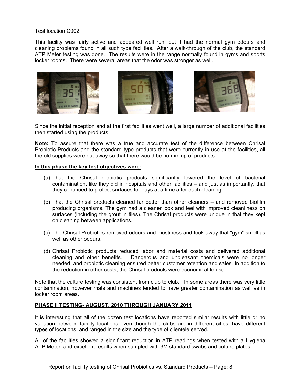#### Test location C002

This facility was fairly active and appeared well run, but it had the normal gym odours and cleaning problems found in all such type facilities. After a walk-through of the club, the standard ATP Meter testing was done. The results were in the range normally found in gyms and sports locker rooms. There were several areas that the odor was stronger as well.







Since the initial reception and at the first facilities went well, a large number of additional facilities then started using the products.

**Note:** To assure that there was a true and accurate test of the difference between Chrisal Probiotic Products and the standard type products that were currently in use at the facilities, all the old supplies were put away so that there would be no mix-up of products.

#### **In this phase the key test objectives were:**

- (a) That the Chrisal probiotic products significantly lowered the level of bacterial contamination, like they did in hospitals and other facilities – and just as importantly, that they continued to protect surfaces for days at a time after each cleaning.
- (b) That the Chrisal products cleaned far better than other cleaners and removed biofilm producing organisms. The gym had a cleaner look and feel with improved cleanliness on surfaces (including the grout in tiles). The Chrisal products were unique in that they kept on cleaning between applications.
- (c) The Chrisal Probiotics removed odours and mustiness and took away that "gym" smell as well as other odours.
- (d) Chrisal Probiotic products reduced labor and material costs and delivered additional cleaning and other benefits. Dangerous and unpleasant chemicals were no longer needed, and probiotic cleaning ensured better customer retention and sales. In addition to the reduction in other costs, the Chrisal products were economical to use.

Note that the culture testing was consistent from club to club. In some areas there was very little contamination, however mats and machines tended to have greater contamination as well as in locker room areas.

#### **PHASE II TESTING- AUGUST, 2010 THROUGH JANUARY 2011**

It is interesting that all of the dozen test locations have reported similar results with little or no variation between facility locations even though the clubs are in different cities, have different types of locations, and ranged in the size and the type of clientele served.

All of the facilities showed a significant reduction in ATP readings when tested with a Hygiena ATP Meter, and excellent results when sampled with 3M standard swabs and culture plates.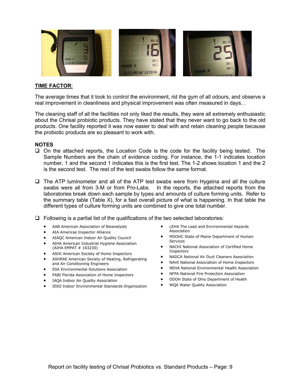

#### **TIME FACTOR**:

The average times that it took to control the environment, rid the gym of all odours, and observe a real improvement in cleanliness and physical improvement was often measured in days. .

The cleaning staff of all the facilities not only liked the results, they were all extremely enthusiastic about the Chrisal probiotic products. They have stated that they never want to go back to the old products. One facility reported it was now easier to deal with and retain cleaning people because the probiotic products are so pleasant to work with.

#### **NOTES**

- On the attached reports, the Location Code is the code for the facility being tested. The Sample Numbers are the chain of evidence coding. For instance, the 1-1 indicates location number, 1 and the second 1 indicates this is the first test. The 1-2 shows location 1 and the 2 is the second test. The rest of the test swabs follow the same format.
- $\Box$  The ATP luminometer and all of the ATP test swabs were from Hygeina and all the culture swabs were all from 3-M or from Pro-Labs. In the reports, the attached reports from the laboratories break down each sample by types and amounts of culture forming units. Refer to the summary table (Table X), for a fast overall picture of what is happening. In that table the different types of culture forming units are combined to give one total number.
- $\Box$  Following is a partial list of the qualifications of the two selected laboratories:
	- AAB American Association of Bioanalysts
	- AIA Americas Inspector Alliance
	- AIAQC American Indoor Air Quality Council
	- AIHA American Industrial Hygiene Association (AIHA EMPAT # 163230)
	- ASHI American Society of Home Inspectors
	- **ASHRAE American Society of Heating, Refrigerating** and Air Conditioning Engineers
	- **ESA Environmental Solutions Association**
	- FABI Florida Association of Home Inspectors
	- IAQA Indoor Air Quality Association
	- **•** IESO Indoor Environmental Standards Organization
- LEHA The Lead and Environmental Hazards Association
- MDOHC State of Maine Department of Human Services
- NACHI National Association of Certified Home Inspectors
- NADCA National Air Duct Cleaners Association
- NAHI National Association of Home Inspectors
- x NEHA National Environmental Health Association
- NFPA National Fire Protection Association
- x ODOH State of Ohio Department of Health
- WQA Water Quality Association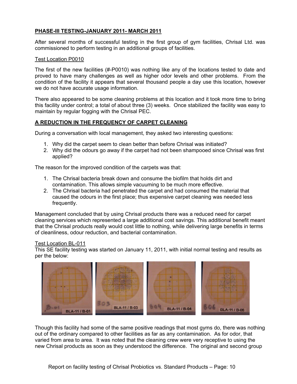#### **PHASE-III TESTING-JANUARY 2011- MARCH 2011**

After several months of successful testing in the first group of gym facilities, Chrisal Ltd. was commissioned to perform testing in an additional groups of facilities.

#### Test Location P0010

The first of the new facilities (#-P0010) was nothing like any of the locations tested to date and proved to have many challenges as well as higher odor levels and other problems. From the condition of the facility it appears that several thousand people a day use this location, however we do not have accurate usage information.

There also appeared to be some cleaning problems at this location and it took more time to bring this facility under control; a total of about three (3) weeks. Once stabilized the facility was easy to maintain by regular fogging with the Chrisal PEC.

#### **A REDUCTION IN THE FREQUENCY OF CARPET CLEANING**

During a conversation with local management, they asked two interesting questions:

- 1. Why did the carpet seem to clean better than before Chrisal was initiated?
- 2. Why did the odours go away if the carpet had not been shampooed since Chrisal was first applied?

The reason for the improved condition of the carpets was that:

- 1. The Chrisal bacteria break down and consume the biofilm that holds dirt and contamination. This allows simple vacuuming to be much more effective.
- 2. The Chrisal bacteria had penetrated the carpet and had consumed the material that caused the odours in the first place; thus expensive carpet cleaning was needed less frequently.

Management concluded that by using Chrisal products there was a reduced need for carpet cleaning services which represented a large additional cost savings. This additional benefit meant that the Chrisal products really would cost little to nothing, while delivering large benefits in terms of cleanliness, odour reduction, and bacterial contamination.

#### Test Location BL-011

This SE facility testing was started on January 11, 2011, with initial normal testing and results as per the below:



Though this facility had some of the same positive readings that most gyms do, there was nothing out of the ordinary compared to other facilities as far as any contamination. As for odor, that varied from area to area. It was noted that the cleaning crew were very receptive to using the new Chrisal products as soon as they understood the difference. The original and second group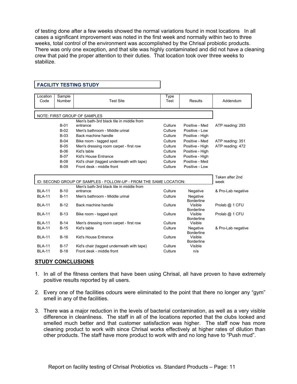of testing done after a few weeks showed the normal variations found in most locations In all cases a significant improvement was noted in the first week and normally within two to three weeks, total control of the environment was accomplished by the Chrisal probiotic products. There was only one exception, and that site was highly contaminated and did not have a cleaning crew that paid the proper attention to their duties. That location took over three weeks to stabilize.

| Location<br>Code               | Sample<br>Number                                                  | <b>Test Site</b>                                                       | Type<br>Test       | Results                                           | Addendum           |
|--------------------------------|-------------------------------------------------------------------|------------------------------------------------------------------------|--------------------|---------------------------------------------------|--------------------|
|                                |                                                                   | NOTE: FIRST GROUP OF SAMPLES                                           |                    |                                                   |                    |
|                                |                                                                   | Men's bath-3rd black tile in middle from                               |                    |                                                   |                    |
|                                | $B-01$                                                            | entrance                                                               | Culture            | Positive - Med                                    | ATP reading: 293   |
|                                | $B-02$                                                            | Men's bathroom - Middle urinal                                         | Culture            | Positive - Low                                    |                    |
|                                | $B-03$                                                            | Back machine handle                                                    | Culture            | Positive - High                                   |                    |
|                                | $B-04$                                                            | Bike room - tagged spot                                                | Culture            | Positive - Med                                    | ATP reading: 351   |
|                                | $B-05$                                                            | Men's dressing room carpet - first row                                 | Culture            | Positive - High                                   | ATP reading: 472   |
|                                | $B-06$                                                            | Kid's table                                                            | Culture            | Positive - High                                   |                    |
|                                | $B-07$                                                            | Kid's House Entrance                                                   | Culture            | Positive - High                                   |                    |
|                                | $B-08$                                                            | Kid's chair (tagged underneath with tape)                              | Culture            | Positive - Med                                    |                    |
|                                | $B-09$                                                            | Front desk - middle front                                              | Culture            | Positive - Low                                    |                    |
|                                | ID: SECOND GROUP OF SAMPLES - FOLLOW-UP - FROM THE SAME LOCATION: |                                                                        |                    |                                                   |                    |
|                                |                                                                   | Men's bath-3rd black tile in middle from                               |                    |                                                   |                    |
| <b>BLA-11</b>                  | $B-10$                                                            | entrance                                                               | Culture            | Negative                                          | & Pro-Lab negative |
| <b>BLA-11</b>                  | $B-11$                                                            | Men's bathroom - Middle urinal                                         | Culture            | Negative<br><b>Borderline</b>                     |                    |
| <b>BLA-11</b>                  | $B-12$                                                            | Back machine handle                                                    | Culture            | Visible                                           | Prolab @ 1 CFU     |
| <b>BLA-11</b>                  | $B-13$                                                            | Bike room - tagged spot                                                | Culture            | <b>Borderline</b><br>Visible<br><b>Borderline</b> | Prolab @ 1 CFU     |
| <b>BLA-11</b>                  | $B-14$                                                            | Men's dressing room carpet - first row                                 | Culture            | Visible                                           |                    |
| <b>BLA-11</b>                  | $B-15$                                                            | Kid's table                                                            | Culture            | Negative<br><b>Borderline</b>                     | & Pro-Lab negative |
| <b>BLA-11</b>                  | $B-16$                                                            | Kid's House Entrance                                                   | Culture            | Visible<br><b>Borderline</b>                      |                    |
| <b>BLA-11</b><br><b>BLA-11</b> | $B-17$<br>$B-18$                                                  | Kid's chair (tagged underneath with tape)<br>Front desk - middle front | Culture<br>Culture | Visible<br>n/a                                    |                    |

#### **FACILITY TESTING STUDY**

#### **STUDY CONCLUSIONS**

- 1. In all of the fitness centers that have been using Chrisal, all have proven to have extremely positive results reported by all users.
- 2. Every one of the facilities odours were eliminated to the point that there no longer any "gym" smell in any of the facilities.
- 3. There was a major reduction in the levels of bacterial contamination, as well as a very visible difference in cleanliness. The staff in all of the locations reported that the clubs looked and smelled much better and that customer satisfaction was higher. The staff now has more cleaning product to work with since Chrisal works effectively at higher rates of dilution than other products. The staff have more product to work with and no long have to "Push mud".